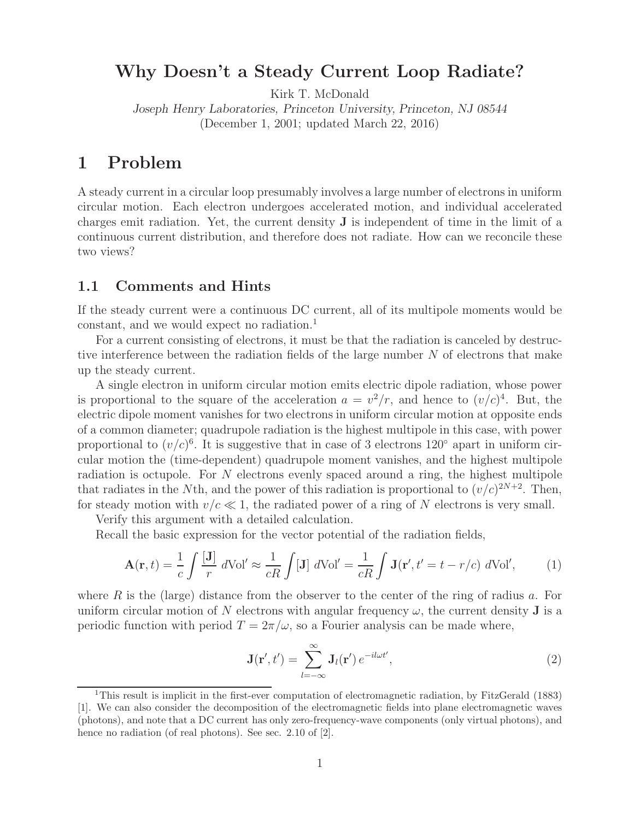## **Why Doesn't a Steady Current Loop Radiate?**

Kirk T. McDonald

*Joseph Henry Laboratories, Princeton University, Princeton, NJ 08544* (December 1, 2001; updated March 22, 2016)

### **1 Problem**

A steady current in a circular loop presumably involves a large number of electrons in uniform circular motion. Each electron undergoes accelerated motion, and individual accelerated charges emit radiation. Yet, the current density **J** is independent of time in the limit of a continuous current distribution, and therefore does not radiate. How can we reconcile these two views?

#### **1.1 Comments and Hints**

If the steady current were a continuous DC current, all of its multipole moments would be constant, and we would expect no radiation.1

For a current consisting of electrons, it must be that the radiation is canceled by destructive interference between the radiation fields of the large number N of electrons that make up the steady current.

A single electron in uniform circular motion emits electric dipole radiation, whose power is proportional to the square of the acceleration  $a = v^2/r$ , and hence to  $(v/c)^4$ . But, the electric dipole moment vanishes for two electrons in uniform circular motion at opposite ends of a common diameter; quadrupole radiation is the highest multipole in this case, with power proportional to  $(v/c)^6$ . It is suggestive that in case of 3 electrons 120 $\degree$  apart in uniform circular motion the (time-dependent) quadrupole moment vanishes, and the highest multipole radiation is octupole. For  $N$  electrons evenly spaced around a ring, the highest multipole that radiates in the Nth, and the power of this radiation is proportional to  $(v/c)^{2N+2}$ . Then, for steady motion with  $v/c \ll 1$ , the radiated power of a ring of N electrons is very small.

Verify this argument with a detailed calculation.

Recall the basic expression for the vector potential of the radiation fields,

$$
\mathbf{A}(\mathbf{r},t) = \frac{1}{c} \int \frac{[\mathbf{J}]}{r} d\mathrm{Vol}' \approx \frac{1}{cR} \int [\mathbf{J}] d\mathrm{Vol}' = \frac{1}{cR} \int \mathbf{J}(\mathbf{r}',t'=t-r/c) d\mathrm{Vol}',\tag{1}
$$

where R is the (large) distance from the observer to the center of the ring of radius a. For uniform circular motion of N electrons with angular frequency  $\omega$ , the current density **J** is a periodic function with period  $T = 2\pi/\omega$ , so a Fourier analysis can be made where,

$$
\mathbf{J}(\mathbf{r}',t') = \sum_{l=-\infty}^{\infty} \mathbf{J}_l(\mathbf{r}') e^{-il\omega t'},
$$
\n(2)

<sup>1</sup>This result is implicit in the first-ever computation of electromagnetic radiation, by FitzGerald (1883) [1]. We can also consider the decomposition of the electromagnetic fields into plane electromagnetic waves (photons), and note that a DC current has only zero-frequency-wave components (only virtual photons), and hence no radiation (of real photons). See sec. 2.10 of [2].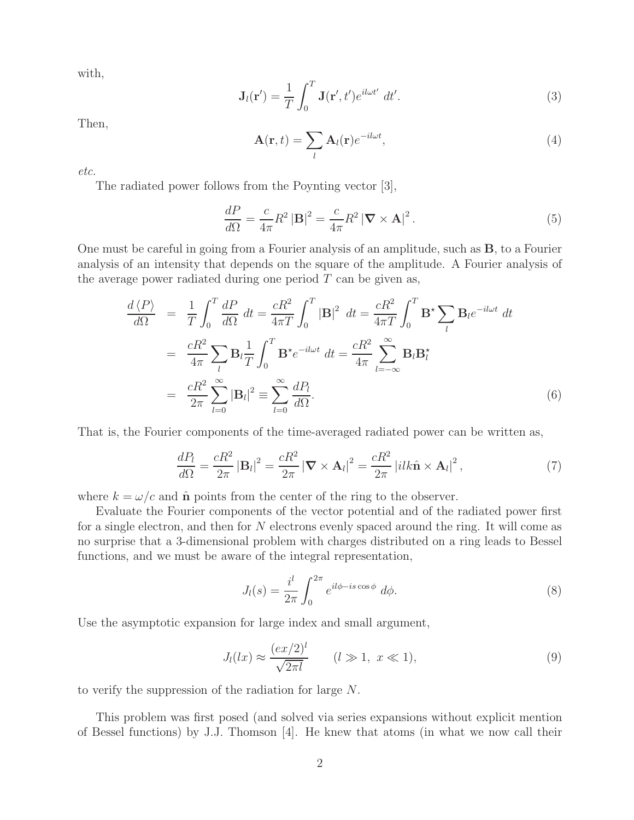with,

$$
\mathbf{J}_l(\mathbf{r}') = \frac{1}{T} \int_0^T \mathbf{J}(\mathbf{r}', t') e^{i l \omega t'} dt'.
$$
 (3)

Then,

$$
\mathbf{A}(\mathbf{r},t) = \sum_{l} \mathbf{A}_{l}(\mathbf{r}) e^{-il\omega t},
$$
\n(4)

*etc.*

The radiated power follows from the Poynting vector [3],

$$
\frac{dP}{d\Omega} = \frac{c}{4\pi} R^2 |\mathbf{B}|^2 = \frac{c}{4\pi} R^2 |\nabla \times \mathbf{A}|^2.
$$
 (5)

One must be careful in going from a Fourier analysis of an amplitude, such as **B**, to a Fourier analysis of an intensity that depends on the square of the amplitude. A Fourier analysis of the average power radiated during one period  $T$  can be given as,

$$
\frac{d\langle P \rangle}{d\Omega} = \frac{1}{T} \int_0^T \frac{dP}{d\Omega} dt = \frac{cR^2}{4\pi T} \int_0^T |\mathbf{B}|^2 dt = \frac{cR^2}{4\pi T} \int_0^T \mathbf{B}^* \sum_l \mathbf{B}_l e^{-i\omega t} dt
$$

$$
= \frac{cR^2}{4\pi} \sum_l \mathbf{B}_l \frac{1}{T} \int_0^T \mathbf{B}^* e^{-i\omega t} dt = \frac{cR^2}{4\pi} \sum_{l=-\infty}^{\infty} \mathbf{B}_l \mathbf{B}_l^*
$$

$$
= \frac{cR^2}{2\pi} \sum_{l=0}^{\infty} |\mathbf{B}_l|^2 \equiv \sum_{l=0}^{\infty} \frac{dP_l}{d\Omega}.
$$
(6)

That is, the Fourier components of the time-averaged radiated power can be written as,

$$
\frac{dP_l}{d\Omega} = \frac{cR^2}{2\pi} |\mathbf{B}_l|^2 = \frac{cR^2}{2\pi} |\nabla \times \mathbf{A}_l|^2 = \frac{cR^2}{2\pi} |ilk\hat{\mathbf{n}} \times \mathbf{A}_l|^2, \tag{7}
$$

where  $k = \omega/c$  and  $\hat{\bf{n}}$  points from the center of the ring to the observer.

Evaluate the Fourier components of the vector potential and of the radiated power first for a single electron, and then for N electrons evenly spaced around the ring. It will come as no surprise that a 3-dimensional problem with charges distributed on a ring leads to Bessel functions, and we must be aware of the integral representation,

$$
J_l(s) = \frac{i^l}{2\pi} \int_0^{2\pi} e^{il\phi - is\cos\phi} d\phi.
$$
 (8)

Use the asymptotic expansion for large index and small argument,

$$
J_l(lx) \approx \frac{(ex/2)^l}{\sqrt{2\pi l}} \qquad (l \gg 1, \ x \ll 1), \tag{9}
$$

to verify the suppression of the radiation for large N.

This problem was first posed (and solved via series expansions without explicit mention of Bessel functions) by J.J. Thomson [4]. He knew that atoms (in what we now call their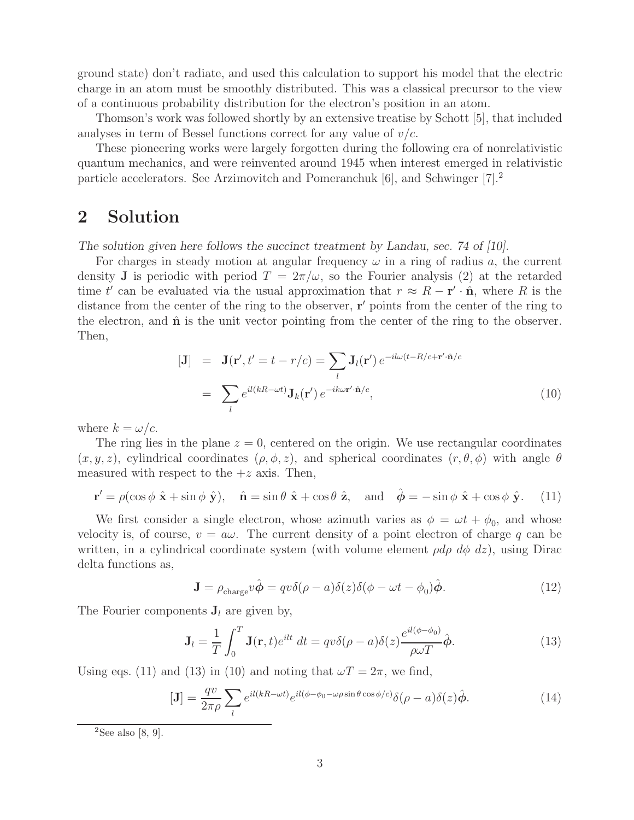ground state) don't radiate, and used this calculation to support his model that the electric charge in an atom must be smoothly distributed. This was a classical precursor to the view of a continuous probability distribution for the electron's position in an atom.

Thomson's work was followed shortly by an extensive treatise by Schott [5], that included analyses in term of Bessel functions correct for any value of  $v/c$ .

These pioneering works were largely forgotten during the following era of nonrelativistic quantum mechanics, and were reinvented around 1945 when interest emerged in relativistic particle accelerators. See Arzimovitch and Pomeranchuk [6], and Schwinger [7].2

## **2 Solution**

*The solution given here follows the succinct treatment by Landau, sec. 74 of [10].*

For charges in steady motion at angular frequency  $\omega$  in a ring of radius a, the current density **J** is periodic with period  $T = 2\pi/\omega$ , so the Fourier analysis (2) at the retarded time t' can be evaluated via the usual approximation that  $r \approx R - \mathbf{r}' \cdot \hat{\mathbf{n}}$ , where R is the distance from the center of the ring to the observer, **r'** points from the center of the ring to the electron, and  $\hat{\bf{n}}$  is the unit vector pointing from the center of the ring to the observer. Then,

$$
[\mathbf{J}] = \mathbf{J}(\mathbf{r}', t' = t - r/c) = \sum_{l} \mathbf{J}_{l}(\mathbf{r}') e^{-il\omega(t - R/c + \mathbf{r}' \cdot \hat{\mathbf{n}}/c}
$$

$$
= \sum_{l} e^{il(kR - \omega t)} \mathbf{J}_{k}(\mathbf{r}') e^{-ik\omega \mathbf{r}' \cdot \hat{\mathbf{n}}/c}, \tag{10}
$$

where  $k = \omega/c$ .

The ring lies in the plane  $z = 0$ , centered on the origin. We use rectangular coordinates  $(x, y, z)$ , cylindrical coordinates  $(\rho, \phi, z)$ , and spherical coordinates  $(r, \theta, \phi)$  with angle  $\theta$ measured with respect to the  $+z$  axis. Then,

$$
\mathbf{r}' = \rho(\cos\phi\,\,\hat{\mathbf{x}} + \sin\phi\,\,\hat{\mathbf{y}}), \quad \hat{\mathbf{n}} = \sin\theta\,\,\hat{\mathbf{x}} + \cos\theta\,\,\hat{\mathbf{z}}, \quad \text{and} \quad \hat{\boldsymbol{\phi}} = -\sin\phi\,\,\hat{\mathbf{x}} + \cos\phi\,\,\hat{\mathbf{y}}. \tag{11}
$$

We first consider a single electron, whose azimuth varies as  $\phi = \omega t + \phi_0$ , and whose velocity is, of course,  $v = a\omega$ . The current density of a point electron of charge q can be written, in a cylindrical coordinate system (with volume element  $\rho d\rho d\phi dz$ ), using Dirac delta functions as,

$$
\mathbf{J} = \rho_{\text{charge}} v \hat{\boldsymbol{\phi}} = q v \delta(\rho - a) \delta(z) \delta(\phi - \omega t - \phi_0) \hat{\boldsymbol{\phi}}.
$$
 (12)

The Fourier components  $J_l$  are given by,

$$
\mathbf{J}_l = \frac{1}{T} \int_0^T \mathbf{J}(\mathbf{r}, t) e^{ilt} dt = q v \delta(\rho - a) \delta(z) \frac{e^{il(\phi - \phi_0)}}{\rho \omega T} \hat{\phi}.
$$
 (13)

Using eqs. (11) and (13) in (10) and noting that  $\omega T = 2\pi$ , we find,

$$
[\mathbf{J}] = \frac{qv}{2\pi\rho} \sum_{l} e^{il(kR - \omega t)} e^{il(\phi - \phi_0 - \omega\rho \sin\theta \cos\phi/c)} \delta(\rho - a) \delta(z) \hat{\phi}.
$$
 (14)

<sup>&</sup>lt;sup>2</sup>See also [8, 9].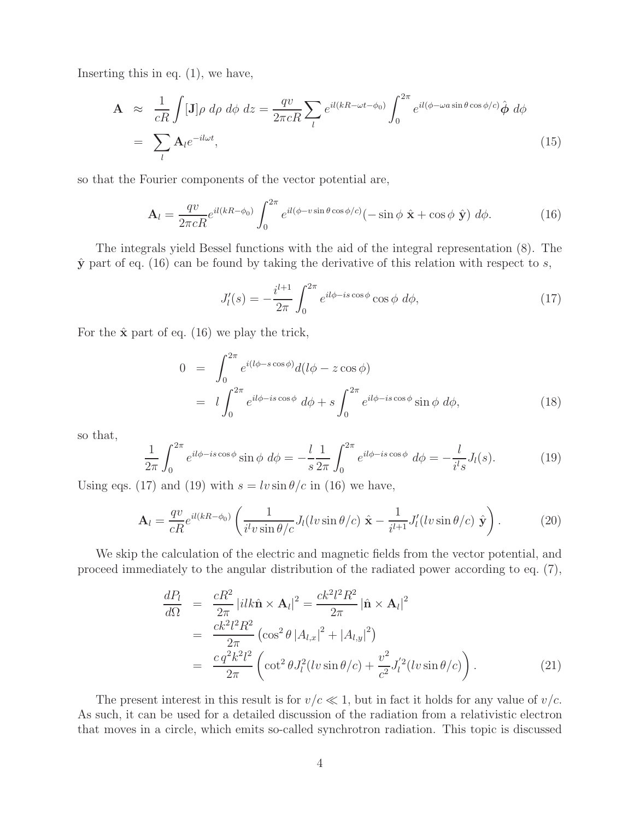Inserting this in eq. (1), we have,

$$
\mathbf{A} \approx \frac{1}{cR} \int [\mathbf{J}] \rho \, d\rho \, d\phi \, dz = \frac{qv}{2\pi cR} \sum_{l} e^{il(kR - \omega t - \phi_0)} \int_0^{2\pi} e^{il(\phi - \omega a \sin \theta \cos \phi/c)} \hat{\phi} \, d\phi
$$
\n
$$
= \sum_{l} \mathbf{A}_l e^{-il\omega t}, \tag{15}
$$

so that the Fourier components of the vector potential are,

$$
\mathbf{A}_{l} = \frac{qv}{2\pi cR} e^{il(kR-\phi_{0})} \int_{0}^{2\pi} e^{il(\phi - v\sin\theta\cos\phi/c)} (-\sin\phi\,\hat{\mathbf{x}} + \cos\phi\,\hat{\mathbf{y}}) \,d\phi. \tag{16}
$$

The integrals yield Bessel functions with the aid of the integral representation (8). The  $\hat{y}$  part of eq. (16) can be found by taking the derivative of this relation with respect to s,

$$
J_l'(s) = -\frac{i^{l+1}}{2\pi} \int_0^{2\pi} e^{il\phi - is\cos\phi} \cos\phi \ d\phi,\tag{17}
$$

For the  $\hat{\mathbf{x}}$  part of eq. (16) we play the trick,

$$
0 = \int_0^{2\pi} e^{i(l\phi - s\cos\phi)} d(l\phi - z\cos\phi)
$$
  
= 
$$
l \int_0^{2\pi} e^{il\phi - is\cos\phi} d\phi + s \int_0^{2\pi} e^{il\phi - is\cos\phi} \sin\phi d\phi,
$$
 (18)

so that,

$$
\frac{1}{2\pi} \int_0^{2\pi} e^{il\phi - is\cos\phi} \sin\phi \ d\phi = -\frac{l}{s} \frac{1}{2\pi} \int_0^{2\pi} e^{il\phi - is\cos\phi} \ d\phi = -\frac{l}{i^l s} J_l(s). \tag{19}
$$

Using eqs. (17) and (19) with  $s = l v \sin \theta / c$  in (16) we have,

$$
\mathbf{A}_{l} = \frac{qv}{cR} e^{il(kR-\phi_0)} \left( \frac{1}{i^l v \sin \theta/c} J_l(lv \sin \theta/c) \hat{\mathbf{x}} - \frac{1}{i^{l+1}} J'_l(lv \sin \theta/c) \hat{\mathbf{y}} \right).
$$
(20)

We skip the calculation of the electric and magnetic fields from the vector potential, and proceed immediately to the angular distribution of the radiated power according to eq. (7),

$$
\frac{dP_l}{d\Omega} = \frac{cR^2}{2\pi} |ilk\hat{\mathbf{n}} \times \mathbf{A}_l|^2 = \frac{ck^2 l^2 R^2}{2\pi} |\hat{\mathbf{n}} \times \mathbf{A}_l|^2 \n= \frac{ck^2 l^2 R^2}{2\pi} (\cos^2 \theta |A_{l,x}|^2 + |A_{l,y}|^2) \n= \frac{c q^2 k^2 l^2}{2\pi} \left( \cot^2 \theta J_l^2 (l v \sin \theta / c) + \frac{v^2}{c^2} J_l^{'2} (l v \sin \theta / c) \right).
$$
\n(21)

The present interest in this result is for  $v/c \ll 1$ , but in fact it holds for any value of  $v/c$ . As such, it can be used for a detailed discussion of the radiation from a relativistic electron that moves in a circle, which emits so-called synchrotron radiation. This topic is discussed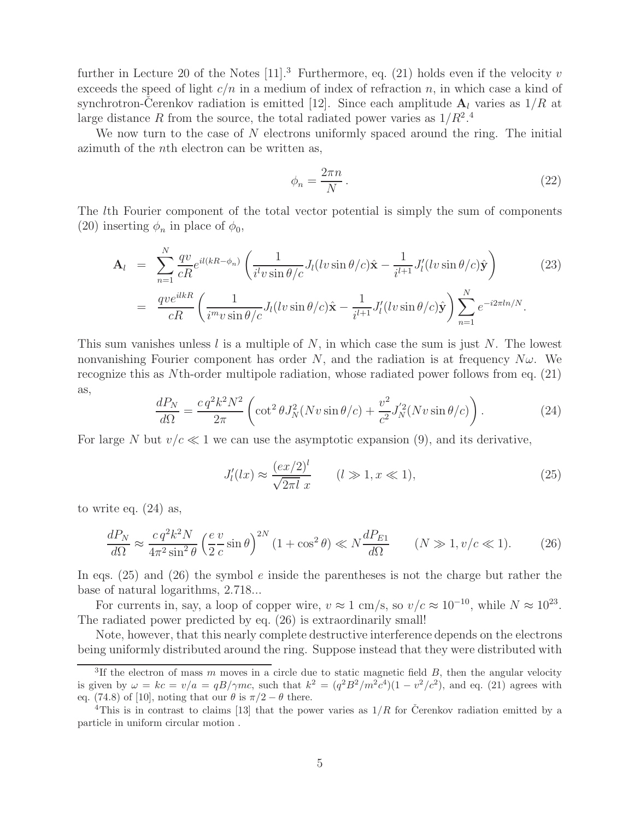further in Lecture 20 of the Notes  $[11]$ .<sup>3</sup> Furthermore, eq. (21) holds even if the velocity v exceeds the speed of light  $c/n$  in a medium of index of refraction n, in which case a kind of synchrotron-Cerenkov radiation is emitted [12]. Since each amplitude  $\mathbf{A}_l$  varies as  $1/R$  at large distance R from the source, the total radiated power varies as  $1/R^2$ .<sup>4</sup>

We now turn to the case of N electrons uniformly spaced around the ring. The initial azimuth of the nth electron can be written as,

$$
\phi_n = \frac{2\pi n}{N} \,. \tag{22}
$$

 $n=1$ 

The lth Fourier component of the total vector potential is simply the sum of components (20) inserting  $\phi_n$  in place of  $\phi_0$ ,

$$
\mathbf{A}_{l} = \sum_{n=1}^{N} \frac{qv}{cR} e^{il(kR-\phi_{n})} \left( \frac{1}{i^{l}v \sin \theta/c} J_{l}(lv \sin \theta/c) \hat{\mathbf{x}} - \frac{1}{i^{l+1}} J'_{l}(lv \sin \theta/c) \hat{\mathbf{y}} \right)
$$
(23)  

$$
= \frac{qve^{ilkR}}{cR} \left( \frac{1}{i^{m}v \sin \theta/c} J_{l}(lv \sin \theta/c) \hat{\mathbf{x}} - \frac{1}{i^{l+1}} J'_{l}(lv \sin \theta/c) \hat{\mathbf{y}} \right) \sum_{n=1}^{N} e^{-i2\pi ln/N}.
$$

This sum vanishes unless l is a multiple of N, in which case the sum is just N. The lowest nonvanishing Fourier component has order N, and the radiation is at frequency  $N\omega$ . We recognize this as Nth-order multipole radiation, whose radiated power follows from eq. (21) as,

$$
\frac{dP_N}{d\Omega} = \frac{c q^2 k^2 N^2}{2\pi} \left( \cot^2 \theta J_N^2(Nv \sin \theta/c) + \frac{v^2}{c^2} J_N'^2(Nv \sin \theta/c) \right). \tag{24}
$$

For large N but  $v/c \ll 1$  we can use the asymptotic expansion (9), and its derivative,

$$
J_l'(lx) \approx \frac{(ex/2)^l}{\sqrt{2\pi l} x} \qquad (l \gg 1, x \ll 1), \tag{25}
$$

to write eq. (24) as,

$$
\frac{dP_N}{d\Omega} \approx \frac{c \, q^2 k^2 N}{4\pi^2 \sin^2 \theta} \left(\frac{e}{2} \frac{v}{c} \sin \theta\right)^{2N} \left(1 + \cos^2 \theta\right) \ll N \frac{dP_{E1}}{d\Omega} \qquad (N \gg 1, v/c \ll 1). \tag{26}
$$

In eqs.  $(25)$  and  $(26)$  the symbol e inside the parentheses is not the charge but rather the base of natural logarithms, 2.718...

For currents in, say, a loop of copper wire,  $v \approx 1$  cm/s, so  $v/c \approx 10^{-10}$ , while  $N \approx 10^{23}$ . The radiated power predicted by eq. (26) is extraordinarily small!

Note, however, that this nearly complete destructive interference depends on the electrons being uniformly distributed around the ring. Suppose instead that they were distributed with

 $\overline{3}$ If the electron of mass m moves in a circle due to static magnetic field B, then the angular velocity is given by  $\omega = kc = v/a = qB/\gamma mc$ , such that  $k^2 = (q^2B^2/m^2c^4)(1 - v^2/c^2)$ , and eq. (21) agrees with eq. (74.8) of [10], noting that our  $\theta$  is  $\pi/2 - \theta$  there.

<sup>&</sup>lt;sup>4</sup>This is in contrast to claims [13] that the power varies as  $1/R$  for Cerenkov radiation emitted by a particle in uniform circular motion .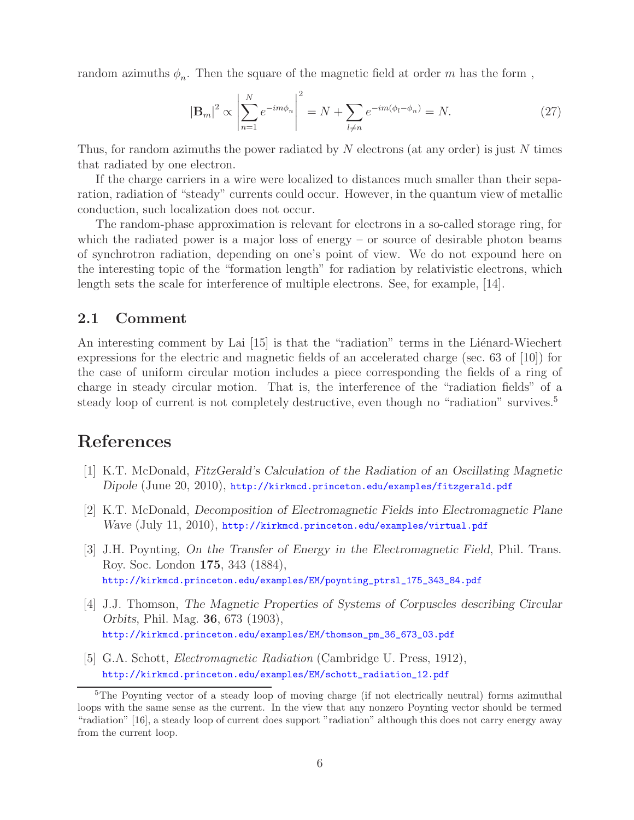random azimuths  $\phi_n$ . Then the square of the magnetic field at order m has the form,

$$
|\mathbf{B}_m|^2 \propto \left| \sum_{n=1}^N e^{-im\phi_n} \right|^2 = N + \sum_{l \neq n} e^{-im(\phi_l - \phi_n)} = N. \tag{27}
$$

Thus, for random azimuths the power radiated by N electrons (at any order) is just N times that radiated by one electron.

If the charge carriers in a wire were localized to distances much smaller than their separation, radiation of "steady" currents could occur. However, in the quantum view of metallic conduction, such localization does not occur.

The random-phase approximation is relevant for electrons in a so-called storage ring, for which the radiated power is a major loss of energy – or source of desirable photon beams of synchrotron radiation, depending on one's point of view. We do not expound here on the interesting topic of the "formation length" for radiation by relativistic electrons, which length sets the scale for interference of multiple electrons. See, for example, [14].

#### **2.1 Comment**

An interesting comment by Lai [15] is that the "radiation" terms in the Liénard-Wiechert expressions for the electric and magnetic fields of an accelerated charge (sec. 63 of [10]) for the case of uniform circular motion includes a piece corresponding the fields of a ring of charge in steady circular motion. That is, the interference of the "radiation fields" of a steady loop of current is not completely destructive, even though no "radiation" survives.<sup>5</sup>

# **References**

- [1] K.T. McDonald, *FitzGerald's Calculation of the Radiation of an Oscillating Magnetic Dipole* (June 20, 2010), http://kirkmcd.princeton.edu/examples/fitzgerald.pdf
- [2] K.T. McDonald, *Decomposition of Electromagnetic Fields into Electromagnetic Plane Wave* (July 11, 2010), http://kirkmcd.princeton.edu/examples/virtual.pdf
- [3] J.H. Poynting, *On the Transfer of Energy in the Electromagnetic Field*, Phil. Trans. Roy. Soc. London **175**, 343 (1884), http://kirkmcd.princeton.edu/examples/EM/poynting\_ptrsl\_175\_343\_84.pdf
- [4] J.J. Thomson, *The Magnetic Properties of Systems of Corpuscles describing Circular Orbits*, Phil. Mag. **36**, 673 (1903), http://kirkmcd.princeton.edu/examples/EM/thomson\_pm\_36\_673\_03.pdf
- [5] G.A. Schott, *Electromagnetic Radiation* (Cambridge U. Press, 1912), http://kirkmcd.princeton.edu/examples/EM/schott\_radiation\_12.pdf

<sup>&</sup>lt;sup>5</sup>The Poynting vector of a steady loop of moving charge (if not electrically neutral) forms azimuthal loops with the same sense as the current. In the view that any nonzero Poynting vector should be termed "radiation" [16], a steady loop of current does support "radiation" although this does not carry energy away from the current loop.